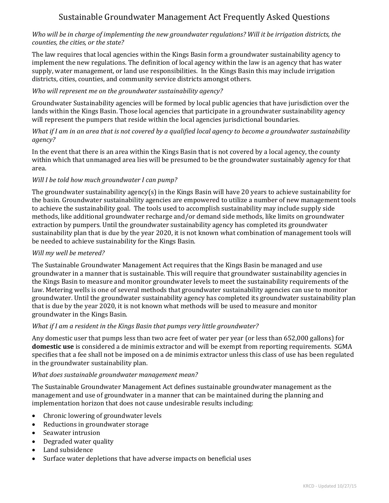# Sustainable Groundwater Management Act Frequently Asked Questions

## Who will be in charge of implementing the new groundwater regulations? Will it be irrigation districts, the *counties, the cities, or the state?*

The law requires that local agencies within the Kings Basin form a groundwater sustainability agency to implement the new regulations. The definition of local agency within the law is an agency that has water supply, water management, or land use responsibilities. In the Kings Basin this may include irrigation districts, cities, counties, and community service districts amongst others.

## *Who will represent me on the groundwater sustainability agency?*

Groundwater Sustainability agencies will be formed by local public agencies that have jurisdiction over the lands within the Kings Basin. Those local agencies that participate in a groundwater sustainability agency will represent the pumpers that reside within the local agencies jurisdictional boundaries.

## What if I am in an area that is not covered by a qualified local agency to become a groundwater sustainability *agency?*

In the event that there is an area within the Kings Basin that is not covered by a local agency, the county within which that unmanaged area lies will be presumed to be the groundwater sustainably agency for that area. 

# *Will I be told how much groundwater I can pump?*

The groundwater sustainability agency(s) in the Kings Basin will have 20 years to achieve sustainability for the basin. Groundwater sustainability agencies are empowered to utilize a number of new management tools to achieve the sustainability goal. The tools used to accomplish sustainability may include supply side methods, like additional groundwater recharge and/or demand side methods, like limits on groundwater extraction by pumpers. Until the groundwater sustainability agency has completed its groundwater sustainability plan that is due by the year 2020, it is not known what combination of management tools will be needed to achieve sustainability for the Kings Basin.

#### *Will my well be metered?*

The Sustainable Groundwater Management Act requires that the Kings Basin be managed and use groundwater in a manner that is sustainable. This will require that groundwater sustainability agencies in the Kings Basin to measure and monitor groundwater levels to meet the sustainability requirements of the law. Metering wells is one of several methods that groundwater sustainability agencies can use to monitor groundwater. Until the groundwater sustainability agency has completed its groundwater sustainability plan that is due by the year 2020, it is not known what methods will be used to measure and monitor groundwater in the Kings Basin.

#### *What if I am a resident in the Kings Basin that pumps very little groundwater?*

Any domestic user that pumps less than two acre feet of water per year (or less than 652,000 gallons) for **domestic** use is considered a de minimis extractor and will be exempt from reporting requirements. SGMA specifies that a fee shall not be imposed on a de minimis extractor unless this class of use has been regulated in the groundwater sustainability plan.

#### *What does sustainable groundwater management mean?*

The Sustainable Groundwater Management Act defines sustainable groundwater management as the management and use of groundwater in a manner that can be maintained during the planning and implementation horizon that does not cause undesirable results including:

- Chronic lowering of groundwater levels
- Reductions in groundwater storage
- Seawater intrusion
- Degraded water quality
- Land subsidence
- Surface water depletions that have adverse impacts on beneficial uses